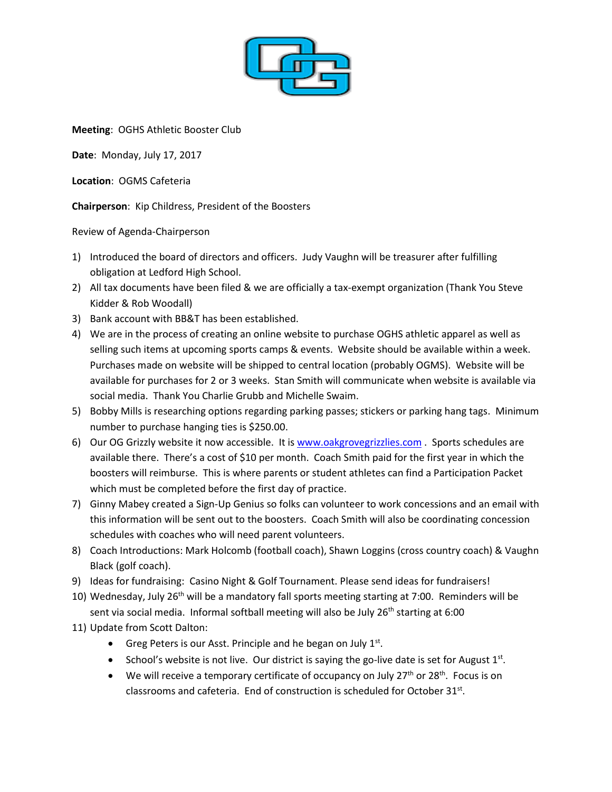

**Meeting**: OGHS Athletic Booster Club

**Date**: Monday, July 17, 2017

**Location**: OGMS Cafeteria

**Chairperson**: Kip Childress, President of the Boosters

Review of Agenda-Chairperson

- 1) Introduced the board of directors and officers. Judy Vaughn will be treasurer after fulfilling obligation at Ledford High School.
- 2) All tax documents have been filed & we are officially a tax-exempt organization (Thank You Steve Kidder & Rob Woodall)
- 3) Bank account with BB&T has been established.
- 4) We are in the process of creating an online website to purchase OGHS athletic apparel as well as selling such items at upcoming sports camps & events. Website should be available within a week. Purchases made on website will be shipped to central location (probably OGMS). Website will be available for purchases for 2 or 3 weeks. Stan Smith will communicate when website is available via social media. Thank You Charlie Grubb and Michelle Swaim.
- 5) Bobby Mills is researching options regarding parking passes; stickers or parking hang tags. Minimum number to purchase hanging ties is \$250.00.
- 6) Our OG Grizzly website it now accessible. It is [www.oakgrovegrizzlies.com](http://www.oakgrovegrizzlies.com/) . Sports schedules are available there. There's a cost of \$10 per month. Coach Smith paid for the first year in which the boosters will reimburse. This is where parents or student athletes can find a Participation Packet which must be completed before the first day of practice.
- 7) Ginny Mabey created a Sign-Up Genius so folks can volunteer to work concessions and an email with this information will be sent out to the boosters. Coach Smith will also be coordinating concession schedules with coaches who will need parent volunteers.
- 8) Coach Introductions: Mark Holcomb (football coach), Shawn Loggins (cross country coach) & Vaughn Black (golf coach).
- 9) Ideas for fundraising: Casino Night & Golf Tournament. Please send ideas for fundraisers!
- 10) Wednesday, July 26<sup>th</sup> will be a mandatory fall sports meeting starting at 7:00. Reminders will be sent via social media. Informal softball meeting will also be July 26<sup>th</sup> starting at 6:00
- 11) Update from Scott Dalton:
	- Greg Peters is our Asst. Principle and he began on July  $1<sup>st</sup>$ .
	- School's website is not live. Our district is saying the go-live date is set for August  $1<sup>st</sup>$ .
	- **We will receive a temporary certificate of occupancy on July 27<sup>th</sup> or 28<sup>th</sup>. Focus is on** classrooms and cafeteria. End of construction is scheduled for October 31st.